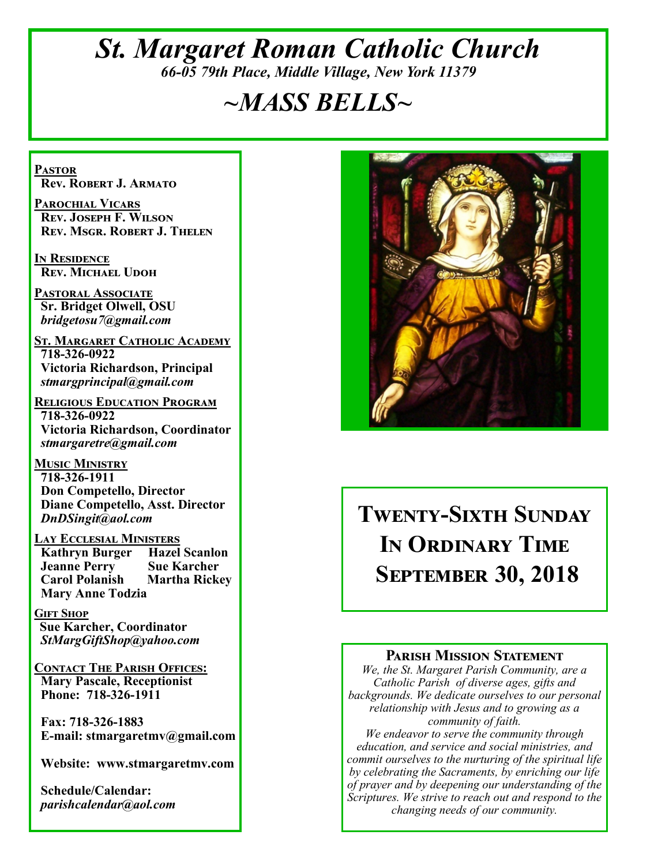## *St. Margaret Roman Catholic Church 66-05 79th Place, Middle Village, New York 11379*

# *~MASS BELLS~*

**Pastor Rev. Robert J. Armato**

**Parochial Vicars Rev. Joseph F. Wilson Rev. Msgr. Robert J. Thelen**

**In Residence Rev. Michael Udoh**

**Pastoral Associate Sr. Bridget Olwell, OSU**  *bridgetosu7@gmail.com*

**St. Margaret Catholic Academy 718-326-0922 Victoria Richardson, Principal**  *stmargprincipal@gmail.com*

**Religious Education Program 718-326-0922 Victoria Richardson, Coordinator** *stmargaretre@gmail.com*

**Music Ministry 718-326-1911 Don Competello, Director Diane Competello, Asst. Director** *DnDSingit@aol.com*

**Lay Ecclesial Ministers Kathryn Burger Jeanne Perry Sue Karcher Carol Polanish Martha Rickey Mary Anne Todzia**

**Gift Shop Sue Karcher, Coordinator** *StMargGiftShop@yahoo.com*

**Contact The Parish Offices: Mary Pascale, Receptionist Phone: 718-326-1911** 

 **Fax: 718-326-1883 E-mail: stmargaretmv@gmail.com**

 **Website: www.stmargaretmv.com**

 **Schedule/Calendar:** *parishcalendar@aol.com* 



# **Twenty-Sixth Sunday In Ordinary Time September 30, 2018**

#### **Parish Mission Statement**

*We, the St. Margaret Parish Community, are a Catholic Parish of diverse ages, gifts and backgrounds. We dedicate ourselves to our personal relationship with Jesus and to growing as a community of faith.*

*We endeavor to serve the community through education, and service and social ministries, and commit ourselves to the nurturing of the spiritual life by celebrating the Sacraments, by enriching our life of prayer and by deepening our understanding of the Scriptures. We strive to reach out and respond to the changing needs of our community.*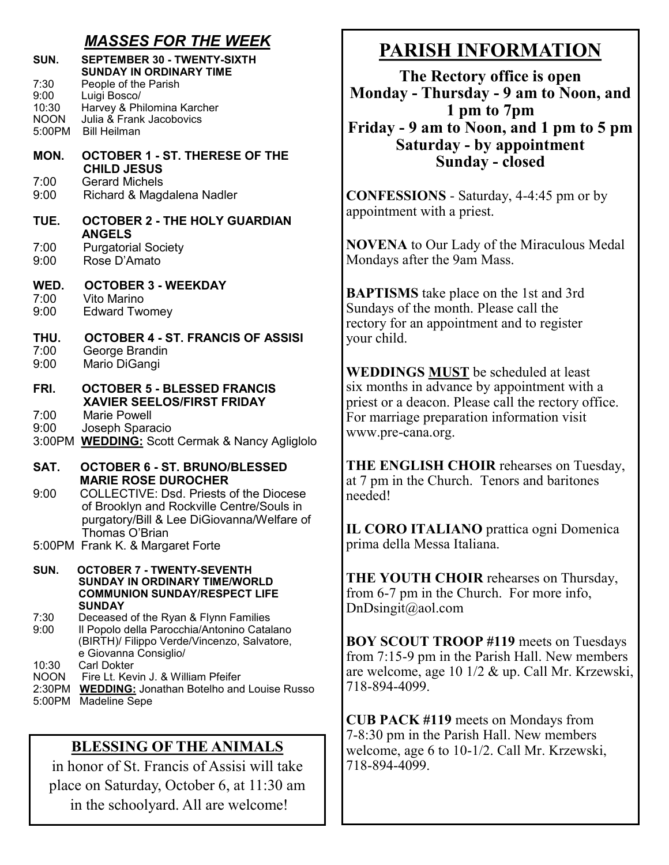#### *MASSES FOR THE WEEK*

| SUN.                                           | <b>SEPTEMBER 30 - TWENTY-SIXTH</b><br><b>SUNDAY IN ORDINARY TIME</b>                                                                                                |
|------------------------------------------------|---------------------------------------------------------------------------------------------------------------------------------------------------------------------|
| 7:30<br>9:00<br>10:30<br><b>NOON</b><br>5:00PM | People of the Parish<br>Luigi Bosco/<br>Harvey & Philomina Karcher<br>Julia & Frank Jacobovics<br><b>Bill Heilman</b>                                               |
| MON.                                           | <b>OCTOBER 1 - ST. THERESE OF THE</b><br><b>CHILD JESUS</b>                                                                                                         |
| 7:00<br>9:00                                   | <b>Gerard Michels</b><br>Richard & Magdalena Nadler                                                                                                                 |
| TUE.                                           | <b>OCTOBER 2 - THE HOLY GUARDIAN</b><br><b>ANGELS</b>                                                                                                               |
| 7:00<br>9:00                                   | <b>Purgatorial Society</b><br>Rose D'Amato                                                                                                                          |
| WED.<br>7:00<br>9:00                           | <b>OCTOBER 3 - WEEKDAY</b><br>Vito Marino<br><b>Edward Twomey</b>                                                                                                   |
| THU.<br>7:00<br>9:00                           | <b>OCTOBER 4 - ST. FRANCIS OF ASSISI</b><br>George Brandin<br>Mario DiGangi                                                                                         |
| FRI.<br>7:00<br>9:00                           | <b>OCTOBER 5 - BLESSED FRANCIS</b><br><b>XAVIER SEELOS/FIRST FRIDAY</b><br><b>Marie Powell</b><br>Joseph Sparacio<br>3:00PM WEDDING: Scott Cermak & Nancy Agliglolo |
| SAT.                                           | <b>OCTOBER 6 - ST. BRUNO/BLESSED</b><br><b>MARIE ROSE DUROCHER</b>                                                                                                  |
| 9:00                                           | <b>COLLECTIVE: Dsd. Priests of the Diocese</b><br>of Brooklyn and Rockville Centre/Souls in<br>purgatory/Bill & Lee DiGiovanna/Welfare of<br>Thomas O'Brian         |
|                                                | 5:00PM Frank K. & Margaret Forte                                                                                                                                    |
| SUN.                                           | <b>OCTOBER 7 - TWENTY-SEVENTH</b><br><b>SUNDAY IN ORDINARY TIME/WORLD</b><br><b>COMMUNION SUNDAY/RESPECT LIFE</b><br>SUNDAY                                         |
| 7:30<br>9:00                                   | Deceased of the Ryan & Flynn Families<br>Il Popolo della Parocchia/Antonino Catalano<br>(BIRTH)/ Filippo Verde/Vincenzo, Salvatore,<br>e Giovanna Consiglio/        |

- 10:30 Carl Dokter
- NOON Fire Lt. Kevin J. & William Pfeifer
- 2:30PM **WEDDING:** Jonathan Botelho and Louise Russo
- 5:00PM Madeline Sepe

#### **BLESSING OF THE ANIMALS**

in honor of St. Francis of Assisi will take place on Saturday, October 6, at 11:30 am in the schoolyard. All are welcome!

# **PARISH INFORMATION**

**The Rectory office is open Monday - Thursday - 9 am to Noon, and 1 pm to 7pm Friday - 9 am to Noon, and 1 pm to 5 pm Saturday - by appointment Sunday - closed**

**CONFESSIONS** - Saturday, 4-4:45 pm or by appointment with a priest.

**NOVENA** to Our Lady of the Miraculous Medal Mondays after the 9am Mass.

**BAPTISMS** take place on the 1st and 3rd Sundays of the month. Please call the rectory for an appointment and to register your child.

**WEDDINGS MUST** be scheduled at least six months in advance by appointment with a priest or a deacon. Please call the rectory office. For marriage preparation information visit www.pre-cana.org.

**THE ENGLISH CHOIR** rehearses on Tuesday, at 7 pm in the Church. Tenors and baritones needed!

**IL CORO ITALIANO** prattica ogni Domenica prima della Messa Italiana.

**THE YOUTH CHOIR** rehearses on Thursday, from 6-7 pm in the Church. For more info, DnDsingit@aol.com

**BOY SCOUT TROOP #119** meets on Tuesdays from 7:15-9 pm in the Parish Hall. New members are welcome, age 10 1/2 & up. Call Mr. Krzewski, 718-894-4099.

**CUB PACK #119** meets on Mondays from 7-8:30 pm in the Parish Hall. New members welcome, age 6 to 10-1/2. Call Mr. Krzewski, 718-894-4099.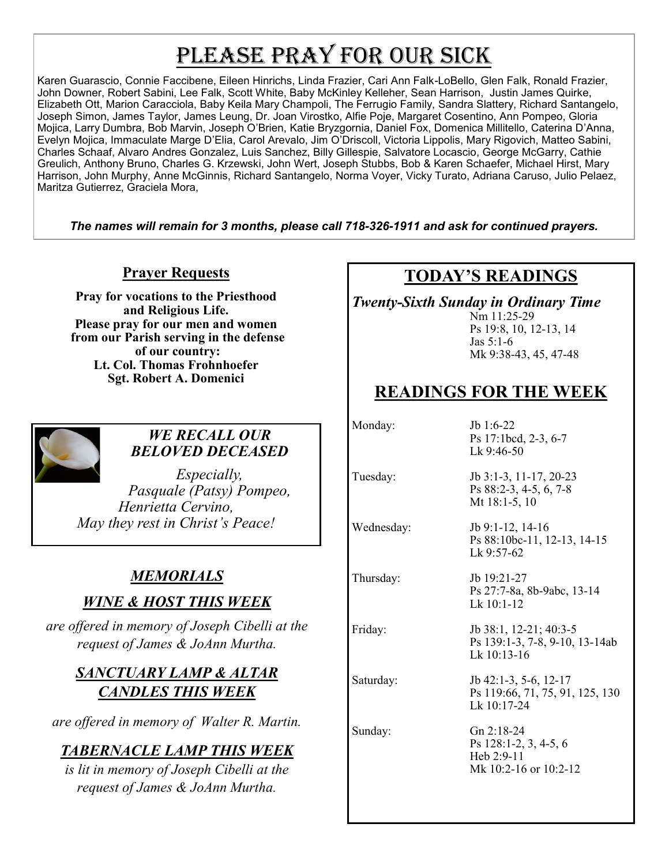# PLEASE PRAY FOR OUR SICK

Karen Guarascio, Connie Faccibene, Eileen Hinrichs, Linda Frazier, Cari Ann Falk-LoBello, Glen Falk, Ronald Frazier, John Downer, Robert Sabini, Lee Falk, Scott White, Baby McKinley Kelleher, Sean Harrison, Justin James Quirke, Elizabeth Ott, Marion Caracciola, Baby Keila Mary Champoli, The Ferrugio Family, Sandra Slattery, Richard Santangelo, Joseph Simon, James Taylor, James Leung, Dr. Joan Virostko, Alfie Poje, Margaret Cosentino, Ann Pompeo, Gloria Mojica, Larry Dumbra, Bob Marvin, Joseph O'Brien, Katie Bryzgornia, Daniel Fox, Domenica Millitello, Caterina D'Anna, Evelyn Mojica, Immaculate Marge D'Elia, Carol Arevalo, Jim O'Driscoll, Victoria Lippolis, Mary Rigovich, Matteo Sabini, Charles Schaaf, Alvaro Andres Gonzalez, Luis Sanchez, Billy Gillespie, Salvatore Locascio, George McGarry, Cathie Greulich, Anthony Bruno, Charles G. Krzewski, John Wert, Joseph Stubbs, Bob & Karen Schaefer, Michael Hirst, Mary Harrison, John Murphy, Anne McGinnis, Richard Santangelo, Norma Voyer, Vicky Turato, Adriana Caruso, Julio Pelaez, Maritza Gutierrez, Graciela Mora,

*The names will remain for 3 months, please call 718-326-1911 and ask for continued prayers.*

#### **Prayer Requests**

**Pray for vocations to the Priesthood and Religious Life. Please pray for our men and women from our Parish serving in the defense of our country: Lt. Col. Thomas Frohnhoefer Sgt. Robert A. Domenici** 



#### *WE RECALL OUR BELOVED DECEASED*

*Especially, Pasquale (Patsy) Pompeo, Henrietta Cervino, May they rest in Christ's Peace!*

#### *MEMORIALS*

#### *WINE & HOST THIS WEEK*

*are offered in memory of Joseph Cibelli at the request of James & JoAnn Murtha.* 

#### *SANCTUARY LAMP & ALTAR CANDLES THIS WEEK*

*are offered in memory of Walter R. Martin.*

### *TABERNACLE LAMP THIS WEEK*

*is lit in memory of Joseph Cibelli at the request of James & JoAnn Murtha.*

## **TODAY'S READINGS**

*Twenty-Sixth Sunday in Ordinary Time*

Nm 11:25-29 Ps 19:8, 10, 12-13, 14 Jas 5:1-6 Mk 9:38-43, 45, 47-48

## **READINGS FOR THE WEEK**

Monday: Jb 1:6-22 Ps 17:1bcd, 2-3, 6-7 Lk 9:46-50

Ps 88:2-3, 4-5, 6, 7-8

Mt 18:1-5, 10

Lk 9:57-62

Tuesday: Jb 3:1-3, 11-17, 20-23

Wednesday: Jb 9:1-12, 14-16

Thursday: Jb 19:21-27 Ps 27:7-8a, 8b-9abc, 13-14 Lk 10:1-12

Ps 88:10bc-11, 12-13, 14-15

Friday: Jb 38:1, 12-21; 40:3-5 Ps 139:1-3, 7-8, 9-10, 13-14ab Lk 10:13-16

Saturday: Jb 42:1-3, 5-6, 12-17 Ps 119:66, 71, 75, 91, 125, 130 Lk 10:17-24

Sunday: Gn 2:18-24 Ps 128:1-2, 3, 4-5, 6 Heb 2:9-11 Mk 10:2-16 or 10:2-12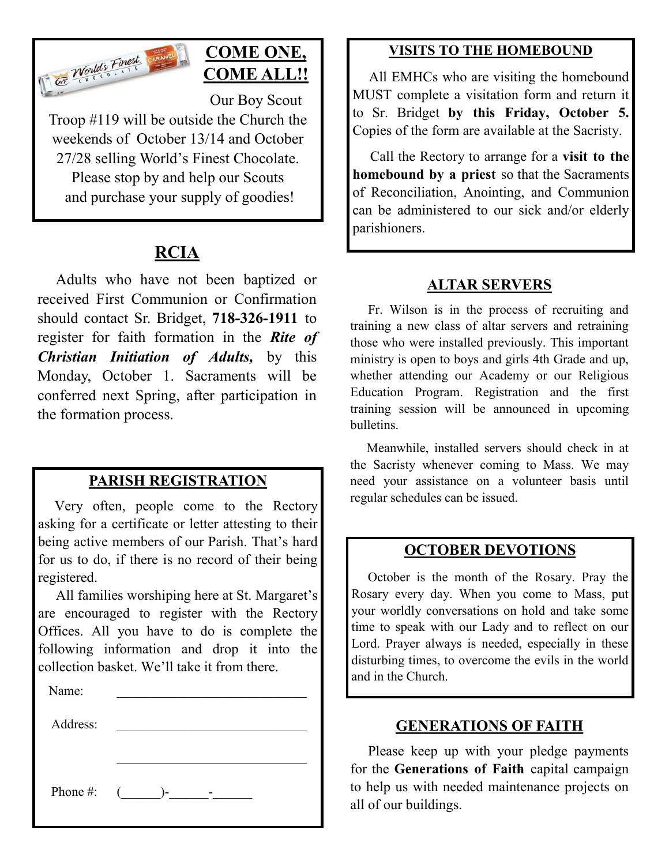

## **COME ONE, COME ALL!!**

Our Boy Scout Troop #119 will be outside the Church the weekends of October 13/14 and October 27/28 selling World's Finest Chocolate. Please stop by and help our Scouts and purchase your supply of goodies!

## **RCIA**

 Adults who have not been baptized or received First Communion or Confirmation should contact Sr. Bridget, **718-326-1911** to register for faith formation in the *Rite of Christian Initiation of Adults,* by this Monday, October 1. Sacraments will be conferred next Spring, after participation in the formation process.

#### **PARISH REGISTRATION**

 Very often, people come to the Rectory asking for a certificate or letter attesting to their being active members of our Parish. That's hard for us to do, if there is no record of their being registered.

 All families worshiping here at St. Margaret's are encouraged to register with the Rectory Offices. All you have to do is complete the following information and drop it into the collection basket. We'll take it from there. Ĭ

| Name:       |                |
|-------------|----------------|
| Address:    |                |
|             |                |
|             |                |
| Phone $#$ : | $\left($<br>)- |
|             |                |

#### **VISITS TO THE HOMEBOUND**

 All EMHCs who are visiting the homebound MUST complete a visitation form and return it to Sr. Bridget **by this Friday, October 5.**  Copies of the form are available at the Sacristy.

 Call the Rectory to arrange for a **visit to the homebound by a priest** so that the Sacraments of Reconciliation, Anointing, and Communion can be administered to our sick and/or elderly parishioners.

#### **ALTAR SERVERS**

 Fr. Wilson is in the process of recruiting and training a new class of altar servers and retraining those who were installed previously. This important ministry is open to boys and girls 4th Grade and up, whether attending our Academy or our Religious Education Program. Registration and the first training session will be announced in upcoming bulletins.

 Meanwhile, installed servers should check in at the Sacristy whenever coming to Mass. We may need your assistance on a volunteer basis until regular schedules can be issued.

#### **OCTOBER DEVOTIONS**

 October is the month of the Rosary. Pray the Rosary every day. When you come to Mass, put your worldly conversations on hold and take some time to speak with our Lady and to reflect on our Lord. Prayer always is needed, especially in these disturbing times, to overcome the evils in the world and in the Church.

#### **GENERATIONS OF FAITH**

 Please keep up with your pledge payments for the **Generations of Faith** capital campaign to help us with needed maintenance projects on all of our buildings.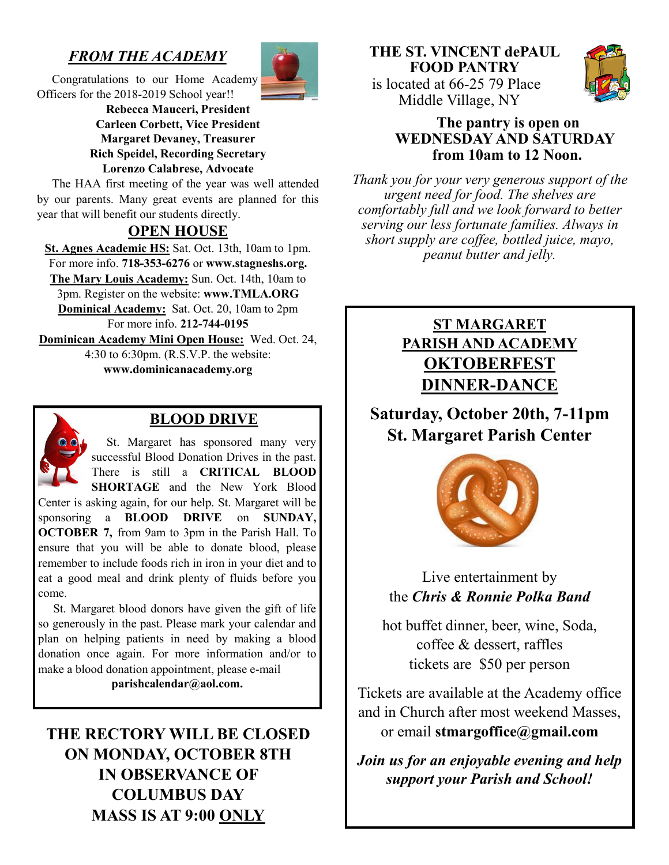## *FROM THE ACADEMY*



 Congratulations to our Home Academy Officers for the 2018-2019 School year!!

**Rebecca Mauceri, President Carleen Corbett, Vice President Margaret Devaney, Treasurer Rich Speidel, Recording Secretary Lorenzo Calabrese, Advocate**

 The HAA first meeting of the year was well attended by our parents. Many great events are planned for this year that will benefit our students directly.

#### **OPEN HOUSE**

**St. Agnes Academic HS:** Sat. Oct. 13th, 10am to 1pm. For more info. **718-353-6276** or **www.stagneshs.org. The Mary Louis Academy:** Sun. Oct. 14th, 10am to 3pm. Register on the website: **www.TMLA.ORG Dominical Academy:** Sat. Oct. 20, 10am to 2pm For more info. **212-744-0195 Dominican Academy Mini Open House:** Wed. Oct. 24, 4:30 to 6:30pm. (R.S.V.P. the website:

**www.dominicanacademy.org**



#### **BLOOD DRIVE**

 St. Margaret has sponsored many very successful Blood Donation Drives in the past. There is still a **CRITICAL BLOOD SHORTAGE** and the New York Blood Center is asking again, for our help. St. Margaret will be

sponsoring a **BLOOD DRIVE** on **SUNDAY, OCTOBER 7,** from 9am to 3pm in the Parish Hall. To ensure that you will be able to donate blood, please remember to include foods rich in iron in your diet and to eat a good meal and drink plenty of fluids before you come.

 St. Margaret blood donors have given the gift of life so generously in the past. Please mark your calendar and plan on helping patients in need by making a blood donation once again. For more information and/or to make a blood donation appointment, please e-mail

**parishcalendar@aol.com.**

## **THE RECTORY WILL BE CLOSED ON MONDAY, OCTOBER 8TH IN OBSERVANCE OF COLUMBUS DAY MASS IS AT 9:00 ONLY**



#### **The pantry is open on WEDNESDAY AND SATURDAY from 10am to 12 Noon.**

*Thank you for your very generous support of the urgent need for food. The shelves are comfortably full and we look forward to better serving our less fortunate families. Always in short supply are coffee, bottled juice, mayo, peanut butter and jelly.*

### **ST MARGARET PARISH AND ACADEMY OKTOBERFEST DINNER-DANCE**

**Saturday, October 20th, 7-11pm St. Margaret Parish Center**



Live entertainment by the *Chris & Ronnie Polka Band*

hot buffet dinner, beer, wine, Soda, coffee & dessert, raffles tickets are \$50 per person

Tickets are available at the Academy office and in Church after most weekend Masses, or email **stmargoffice@gmail.com** 

*Join us for an enjoyable evening and help support your Parish and School!*